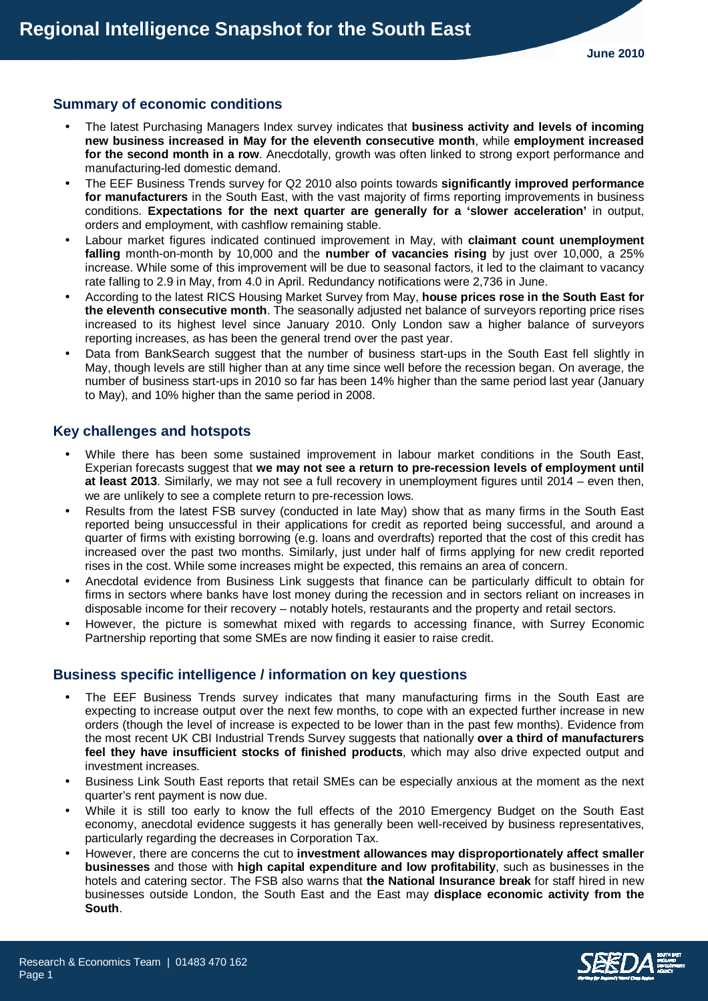## **Summary of economic conditions**

- The latest Purchasing Managers Index survey indicates that **business activity and levels of incoming new business increased in May for the eleventh consecutive month**, while **employment increased for the second month in a row**. Anecdotally, growth was often linked to strong export performance and manufacturing-led domestic demand.
- The EEF Business Trends survey for Q2 2010 also points towards **significantly improved performance for manufacturers** in the South East, with the vast majority of firms reporting improvements in business conditions. **Expectations for the next quarter are generally for a 'slower acceleration'** in output, orders and employment, with cashflow remaining stable.
- Labour market figures indicated continued improvement in May, with **claimant count unemployment falling** month-on-month by 10,000 and the **number of vacancies rising** by just over 10,000, a 25% increase. While some of this improvement will be due to seasonal factors, it led to the claimant to vacancy rate falling to 2.9 in May, from 4.0 in April. Redundancy notifications were 2,736 in June.
- According to the latest RICS Housing Market Survey from May, **house prices rose in the South East for the eleventh consecutive month**. The seasonally adjusted net balance of surveyors reporting price rises increased to its highest level since January 2010. Only London saw a higher balance of surveyors reporting increases, as has been the general trend over the past year.
- Data from BankSearch suggest that the number of business start-ups in the South East fell slightly in May, though levels are still higher than at any time since well before the recession began. On average, the number of business start-ups in 2010 so far has been 14% higher than the same period last year (January to May), and 10% higher than the same period in 2008.

# **Key challenges and hotspots**

- While there has been some sustained improvement in labour market conditions in the South East, Experian forecasts suggest that **we may not see a return to pre-recession levels of employment until at least 2013**. Similarly, we may not see a full recovery in unemployment figures until 2014 – even then, we are unlikely to see a complete return to pre-recession lows.
- Results from the latest FSB survey (conducted in late May) show that as many firms in the South East reported being unsuccessful in their applications for credit as reported being successful, and around a quarter of firms with existing borrowing (e.g. loans and overdrafts) reported that the cost of this credit has increased over the past two months. Similarly, just under half of firms applying for new credit reported rises in the cost. While some increases might be expected, this remains an area of concern.
- Anecdotal evidence from Business Link suggests that finance can be particularly difficult to obtain for firms in sectors where banks have lost money during the recession and in sectors reliant on increases in disposable income for their recovery – notably hotels, restaurants and the property and retail sectors.
- However, the picture is somewhat mixed with regards to accessing finance, with Surrey Economic Partnership reporting that some SMEs are now finding it easier to raise credit.

## **Business specific intelligence / information on key questions**

- The EEF Business Trends survey indicates that many manufacturing firms in the South East are expecting to increase output over the next few months, to cope with an expected further increase in new orders (though the level of increase is expected to be lower than in the past few months). Evidence from the most recent UK CBI Industrial Trends Survey suggests that nationally **over a third of manufacturers feel they have insufficient stocks of finished products**, which may also drive expected output and investment increases.
- Business Link South East reports that retail SMEs can be especially anxious at the moment as the next quarter's rent payment is now due.
- While it is still too early to know the full effects of the 2010 Emergency Budget on the South East economy, anecdotal evidence suggests it has generally been well-received by business representatives, particularly regarding the decreases in Corporation Tax.
- However, there are concerns the cut to **investment allowances may disproportionately affect smaller businesses** and those with **high capital expenditure and low profitability**, such as businesses in the hotels and catering sector. The FSB also warns that **the National Insurance break** for staff hired in new businesses outside London, the South East and the East may **displace economic activity from the South**.

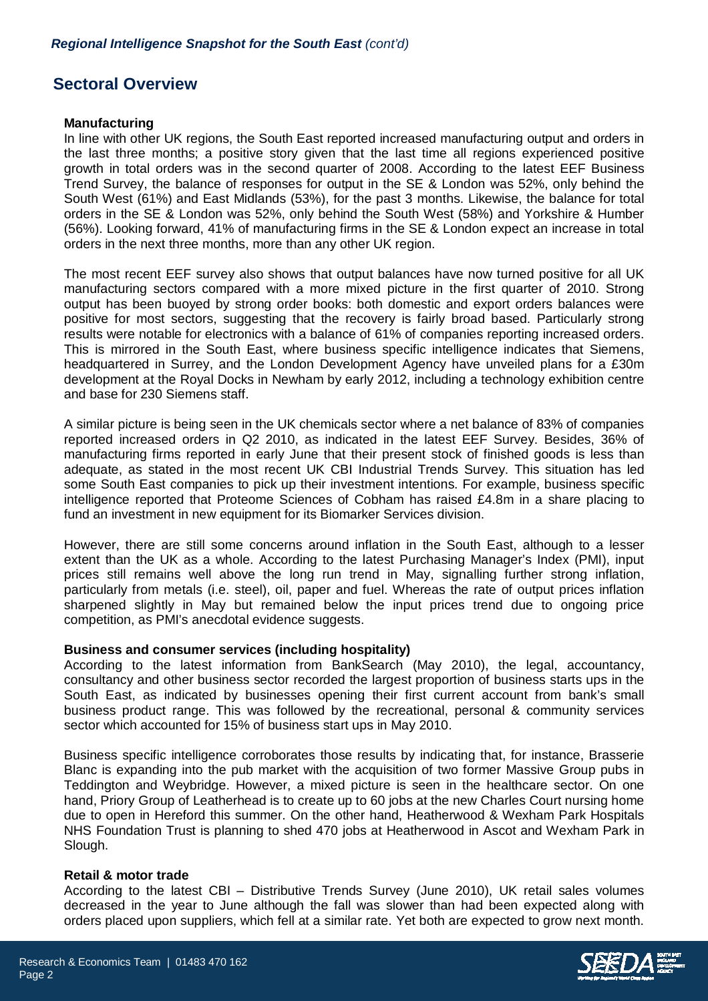# **Sectoral Overview**

#### **Manufacturing**

In line with other UK regions, the South East reported increased manufacturing output and orders in the last three months; a positive story given that the last time all regions experienced positive growth in total orders was in the second quarter of 2008. According to the latest EEF Business Trend Survey, the balance of responses for output in the SE & London was 52%, only behind the South West (61%) and East Midlands (53%), for the past 3 months. Likewise, the balance for total orders in the SE & London was 52%, only behind the South West (58%) and Yorkshire & Humber (56%). Looking forward, 41% of manufacturing firms in the SE & London expect an increase in total orders in the next three months, more than any other UK region.

The most recent EEF survey also shows that output balances have now turned positive for all UK manufacturing sectors compared with a more mixed picture in the first quarter of 2010. Strong output has been buoyed by strong order books: both domestic and export orders balances were positive for most sectors, suggesting that the recovery is fairly broad based. Particularly strong results were notable for electronics with a balance of 61% of companies reporting increased orders. This is mirrored in the South East, where business specific intelligence indicates that Siemens, headquartered in Surrey, and the London Development Agency have unveiled plans for a £30m development at the Royal Docks in Newham by early 2012, including a technology exhibition centre and base for 230 Siemens staff.

A similar picture is being seen in the UK chemicals sector where a net balance of 83% of companies reported increased orders in Q2 2010, as indicated in the latest EEF Survey. Besides, 36% of manufacturing firms reported in early June that their present stock of finished goods is less than adequate, as stated in the most recent UK CBI Industrial Trends Survey. This situation has led some South East companies to pick up their investment intentions. For example, business specific intelligence reported that Proteome Sciences of Cobham has raised £4.8m in a share placing to fund an investment in new equipment for its Biomarker Services division.

However, there are still some concerns around inflation in the South East, although to a lesser extent than the UK as a whole. According to the latest Purchasing Manager's Index (PMI), input prices still remains well above the long run trend in May, signalling further strong inflation, particularly from metals (i.e. steel), oil, paper and fuel. Whereas the rate of output prices inflation sharpened slightly in May but remained below the input prices trend due to ongoing price competition, as PMI's anecdotal evidence suggests.

#### **Business and consumer services (including hospitality)**

According to the latest information from BankSearch (May 2010), the legal, accountancy, consultancy and other business sector recorded the largest proportion of business starts ups in the South East, as indicated by businesses opening their first current account from bank's small business product range. This was followed by the recreational, personal & community services sector which accounted for 15% of business start ups in May 2010.

Business specific intelligence corroborates those results by indicating that, for instance, Brasserie Blanc is expanding into the pub market with the acquisition of two former Massive Group pubs in Teddington and Weybridge. However, a mixed picture is seen in the healthcare sector. On one hand, Priory Group of Leatherhead is to create up to 60 jobs at the new Charles Court nursing home due to open in Hereford this summer. On the other hand, Heatherwood & Wexham Park Hospitals NHS Foundation Trust is planning to shed 470 jobs at Heatherwood in Ascot and Wexham Park in Slough.

#### **Retail & motor trade**

According to the latest CBI – Distributive Trends Survey (June 2010), UK retail sales volumes decreased in the year to June although the fall was slower than had been expected along with orders placed upon suppliers, which fell at a similar rate. Yet both are expected to grow next month.

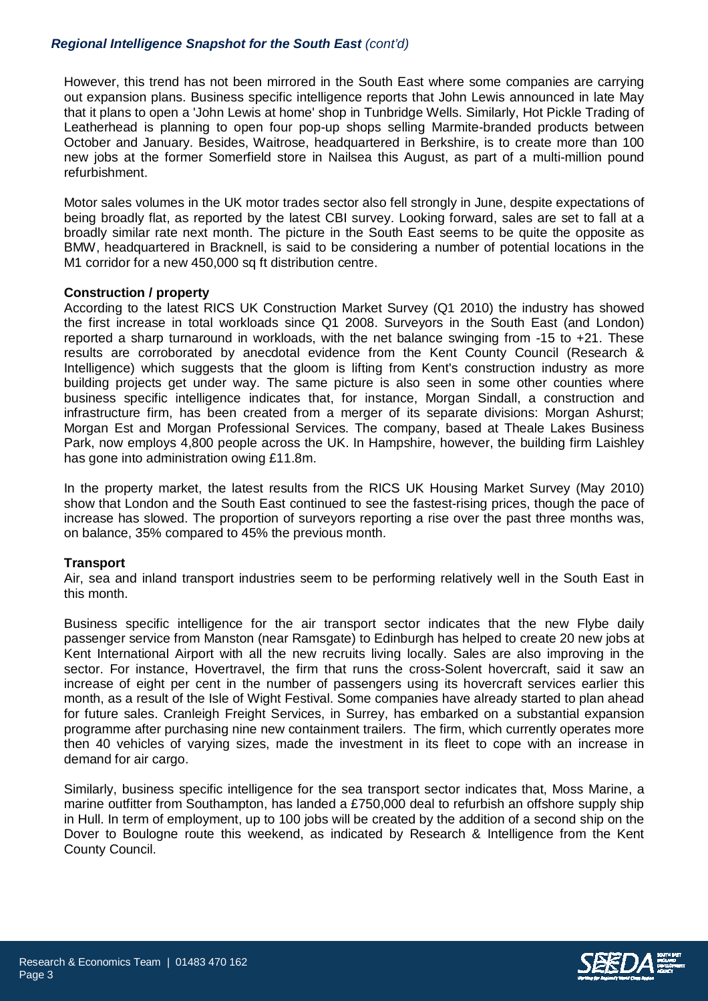## **Regional Intelligence Snapshot for the South East** (cont'd)

However, this trend has not been mirrored in the South East where some companies are carrying out expansion plans. Business specific intelligence reports that John Lewis announced in late May that it plans to open a 'John Lewis at home' shop in Tunbridge Wells. Similarly, Hot Pickle Trading of Leatherhead is planning to open four pop-up shops selling Marmite-branded products between October and January. Besides, Waitrose, headquartered in Berkshire, is to create more than 100 new jobs at the former Somerfield store in Nailsea this August, as part of a multi-million pound refurbishment.

Motor sales volumes in the UK motor trades sector also fell strongly in June, despite expectations of being broadly flat, as reported by the latest CBI survey. Looking forward, sales are set to fall at a broadly similar rate next month. The picture in the South East seems to be quite the opposite as BMW, headquartered in Bracknell, is said to be considering a number of potential locations in the M1 corridor for a new 450,000 sq ft distribution centre.

### **Construction / property**

According to the latest RICS UK Construction Market Survey (Q1 2010) the industry has showed the first increase in total workloads since Q1 2008. Surveyors in the South East (and London) reported a sharp turnaround in workloads, with the net balance swinging from -15 to +21. These results are corroborated by anecdotal evidence from the Kent County Council (Research & Intelligence) which suggests that the gloom is lifting from Kent's construction industry as more building projects get under way. The same picture is also seen in some other counties where business specific intelligence indicates that, for instance, Morgan Sindall, a construction and infrastructure firm, has been created from a merger of its separate divisions: Morgan Ashurst; Morgan Est and Morgan Professional Services. The company, based at Theale Lakes Business Park, now employs 4,800 people across the UK. In Hampshire, however, the building firm Laishley has gone into administration owing £11.8m.

In the property market, the latest results from the RICS UK Housing Market Survey (May 2010) show that London and the South East continued to see the fastest-rising prices, though the pace of increase has slowed. The proportion of surveyors reporting a rise over the past three months was, on balance, 35% compared to 45% the previous month.

#### **Transport**

Air, sea and inland transport industries seem to be performing relatively well in the South East in this month.

Business specific intelligence for the air transport sector indicates that the new Flybe daily passenger service from Manston (near Ramsgate) to Edinburgh has helped to create 20 new jobs at Kent International Airport with all the new recruits living locally. Sales are also improving in the sector. For instance, Hovertravel, the firm that runs the cross-Solent hovercraft, said it saw an increase of eight per cent in the number of passengers using its hovercraft services earlier this month, as a result of the Isle of Wight Festival. Some companies have already started to plan ahead for future sales. Cranleigh Freight Services, in Surrey, has embarked on a substantial expansion programme after purchasing nine new containment trailers. The firm, which currently operates more then 40 vehicles of varying sizes, made the investment in its fleet to cope with an increase in demand for air cargo.

Similarly, business specific intelligence for the sea transport sector indicates that, Moss Marine, a marine outfitter from Southampton, has landed a £750,000 deal to refurbish an offshore supply ship in Hull. In term of employment, up to 100 jobs will be created by the addition of a second ship on the Dover to Boulogne route this weekend, as indicated by Research & Intelligence from the Kent County Council.

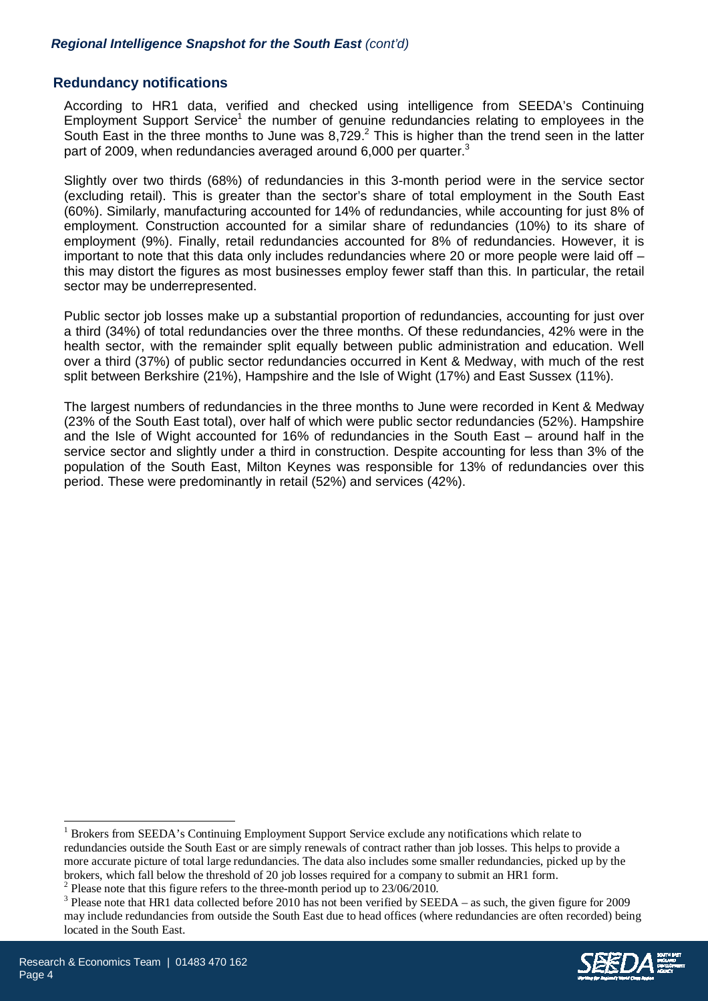## **Redundancy notifications**

According to HR1 data, verified and checked using intelligence from SEEDA's Continuing Employment Support Service<sup>1</sup> the number of genuine redundancies relating to employees in the South East in the three months to June was  $8,729.^2$  This is higher than the trend seen in the latter part of 2009, when redundancies averaged around 6,000 per quarter. $3$ 

Slightly over two thirds (68%) of redundancies in this 3-month period were in the service sector (excluding retail). This is greater than the sector's share of total employment in the South East (60%). Similarly, manufacturing accounted for 14% of redundancies, while accounting for just 8% of employment. Construction accounted for a similar share of redundancies (10%) to its share of employment (9%). Finally, retail redundancies accounted for 8% of redundancies. However, it is important to note that this data only includes redundancies where 20 or more people were laid off – this may distort the figures as most businesses employ fewer staff than this. In particular, the retail sector may be underrepresented.

Public sector job losses make up a substantial proportion of redundancies, accounting for just over a third (34%) of total redundancies over the three months. Of these redundancies, 42% were in the health sector, with the remainder split equally between public administration and education. Well over a third (37%) of public sector redundancies occurred in Kent & Medway, with much of the rest split between Berkshire (21%), Hampshire and the Isle of Wight (17%) and East Sussex (11%).

The largest numbers of redundancies in the three months to June were recorded in Kent & Medway (23% of the South East total), over half of which were public sector redundancies (52%). Hampshire and the Isle of Wight accounted for 16% of redundancies in the South East – around half in the service sector and slightly under a third in construction. Despite accounting for less than 3% of the population of the South East, Milton Keynes was responsible for 13% of redundancies over this period. These were predominantly in retail (52%) and services (42%).

 $3$  Please note that HR1 data collected before 2010 has not been verified by SEEDA – as such, the given figure for 2009 may include redundancies from outside the South East due to head offices (where redundancies are often recorded) being located in the South East.



-

<sup>&</sup>lt;sup>1</sup> Brokers from SEEDA's Continuing Employment Support Service exclude any notifications which relate to redundancies outside the South East or are simply renewals of contract rather than job losses. This helps to provide a more accurate picture of total large redundancies. The data also includes some smaller redundancies, picked up by the brokers, which fall below the threshold of 20 job losses required for a company to submit an HR1 form.

<sup>&</sup>lt;sup>2</sup> Please note that this figure refers to the three-month period up to  $23/06/2010$ .